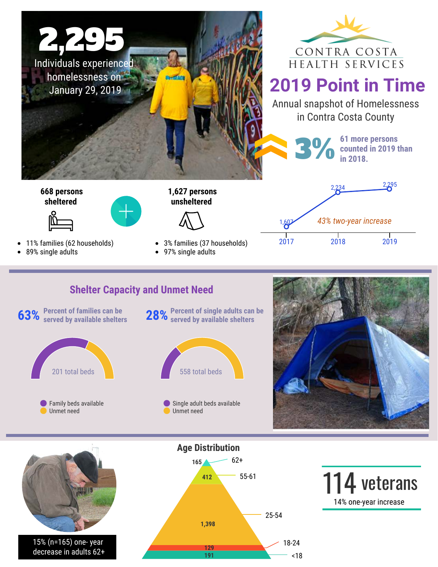



## **2019 Point in Time**

Annual snapshot of Homelessness in Contra Costa County

> 2,234 2,295 **3% 61 more persons**<br> **61 more persons**<br> **61 more persons**<br> **61 more persons counted in 2019 than in 2018.**



 **668 persons sheltered**





- 
- 89% single adults

3% families (37 households)

 **1,627 persons unsheltered**

97% single adults

## **Shelter Capacity and Unmet Need**







15% (n=165) one- year decrease in adults 62+